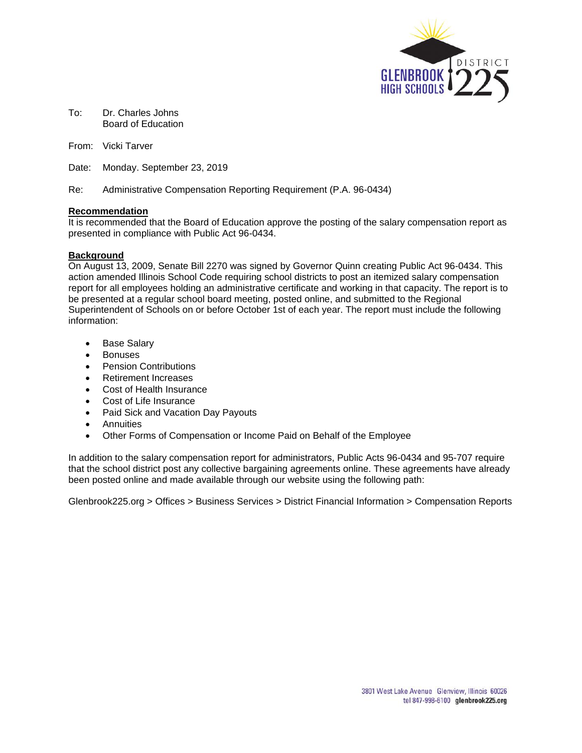

To: Dr. Charles Johns Board of Education

From: Vicki Tarver

Date: Monday. September 23, 2019

Re: Administrative Compensation Reporting Requirement (P.A. 96-0434)

## **Recommendation**

It is recommended that the Board of Education approve the posting of the salary compensation report as presented in compliance with Public Act 96-0434.

## **Background**

On August 13, 2009, Senate Bill 2270 was signed by Governor Quinn creating Public Act 96-0434. This action amended Illinois School Code requiring school districts to post an itemized salary compensation report for all employees holding an administrative certificate and working in that capacity. The report is to be presented at a regular school board meeting, posted online, and submitted to the Regional Superintendent of Schools on or before October 1st of each year. The report must include the following information:

- Base Salary
- Bonuses
- Pension Contributions
- Retirement Increases
- Cost of Health Insurance
- Cost of Life Insurance
- Paid Sick and Vacation Day Payouts
- Annuities
- Other Forms of Compensation or Income Paid on Behalf of the Employee

In addition to the salary compensation report for administrators, Public Acts 96-0434 and 95-707 require that the school district post any collective bargaining agreements online. These agreements have already been posted online and made available through our website using the following path:

Glenbrook225.org > Offices > Business Services > District Financial Information > Compensation Reports